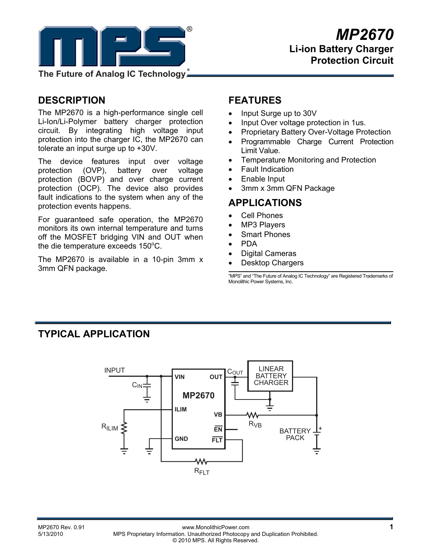

**The Future of Analog IC Technology**

# **DESCRIPTION**

The MP2670 is a high-performance single cell Li-Ion/Li-Polymer battery charger protection circuit. By integrating high voltage input protection into the charger IC, the MP2670 can tolerate an input surge up to +30V.

The device features input over voltage protection (OVP), battery over voltage protection (BOVP) and over charge current protection (OCP). The device also provides fault indications to the system when any of the protection events happens.

For guaranteed safe operation, the MP2670 monitors its own internal temperature and turns off the MOSFET bridging VIN and OUT when the die temperature exceeds  $150^{\circ}$ C.

The MP2670 is available in a 10-pin 3mm x 3mm QFN package.

### **FEATURES**

- Input Surge up to 30V
- Input Over voltage protection in 1us.
- Proprietary Battery Over-Voltage Protection
- Programmable Charge Current Protection Limit Value.
- Temperature Monitoring and Protection
- Fault Indication
- Enable Input
- 3mm x 3mm QFN Package

### **APPLICATIONS**

- Cell Phones
- MP3 Players
- Smart Phones
- PDA
- Digital Cameras
- Desktop Chargers

"MPS" and "The Future of Analog IC Technology" are Registered Trademarks of Monolithic Power Systems, Inc.

# **TYPICAL APPLICATION**

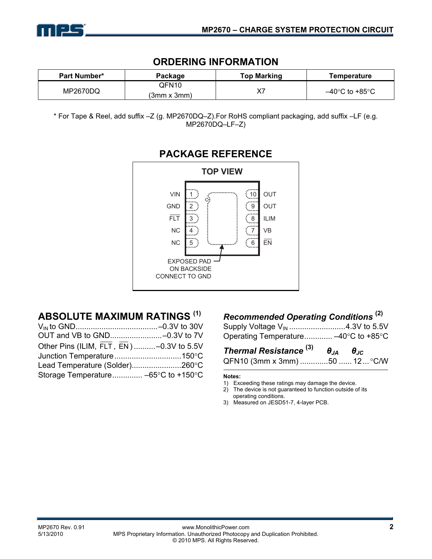

### **ORDERING INFORMATION**

| <b>Part Number*</b> | Package              | <b>Top Marking</b> | Temperature                         |
|---------------------|----------------------|--------------------|-------------------------------------|
| MP2670DQ            | OFN10<br>(3mm x 3mm) | $\mathsf{v}$ -     | $-40^{\circ}$ C to +85 $^{\circ}$ C |

\* For Tape & Reel, add suffix –Z (g. MP2670DQ–Z).For RoHS compliant packaging, add suffix –LF (e.g. MP2670DQ–LF–Z)



### **PACKAGE REFERENCE**

# **ABSOLUTE MAXIMUM RATINGS (1)**

| Other Pins (ILIM, FLT, EN)-0.3V to 5.5V |  |
|-----------------------------------------|--|
|                                         |  |
| Lead Temperature (Solder)260°C          |  |
|                                         |  |
|                                         |  |

### *Recommended Operating Conditions* **(2)**

| Supply Voltage V <sub>IN</sub> 4.3V to 5.5V |  |
|---------------------------------------------|--|
| Operating Temperature -40°C to +85°C        |  |

# *Thermal Resistance* **(3)** *θJA θJC*

| QFN10 (3mm x 3mm) 50  12  °C/W |  |  |  |
|--------------------------------|--|--|--|
|--------------------------------|--|--|--|

#### **Notes:**

- 1) Exceeding these ratings may damage the device.
- 2) The device is not guaranteed to function outside of its operating conditions.
- 3) Measured on JESD51-7, 4-layer PCB.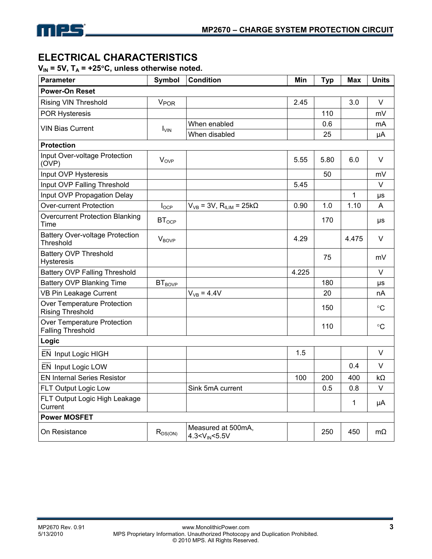

## **ELECTRICAL CHARACTERISTICS**

 $V_{IN}$  = 5V,  $T_A$  = +25°C, unless otherwise noted.

| <b>Parameter</b>                                        | Symbol                 | <b>Condition</b>                            | Min   | <b>Typ</b> | <b>Max</b>   | <b>Units</b>    |
|---------------------------------------------------------|------------------------|---------------------------------------------|-------|------------|--------------|-----------------|
| <b>Power-On Reset</b>                                   |                        |                                             |       |            |              |                 |
| <b>Rising VIN Threshold</b>                             | <b>V<sub>POR</sub></b> |                                             | 2.45  |            | 3.0          | $\vee$          |
| <b>POR Hysteresis</b>                                   |                        |                                             |       | 110        |              | mV              |
| <b>VIN Bias Current</b>                                 | $I_{VIN}$              | When enabled                                |       | 0.6        |              | mA              |
|                                                         |                        | When disabled                               |       | 25         |              | μA              |
| <b>Protection</b>                                       |                        |                                             |       |            |              |                 |
| Input Over-voltage Protection<br>(OVP)                  | <b>V<sub>OVP</sub></b> |                                             | 5.55  | 5.80       | 6.0          | V               |
| Input OVP Hysteresis                                    |                        |                                             |       | 50         |              | mV              |
| Input OVP Falling Threshold                             |                        |                                             | 5.45  |            |              | $\vee$          |
| Input OVP Propagation Delay                             |                        |                                             |       |            | $\mathbf{1}$ | μs              |
| <b>Over-current Protection</b>                          | $I_{OCP}$              | $V_{VB}$ = 3V, $R_{ILIM}$ = 25k $\Omega$    | 0.90  | 1.0        | 1.10         | Α               |
| <b>Overcurrent Protection Blanking</b><br>Time          | $BT_{OCP}$             |                                             |       | 170        |              | μs              |
| <b>Battery Over-voltage Protection</b><br>Threshold     | $V_{\text{BOVP}}$      |                                             | 4.29  |            | 4.475        | V               |
| <b>Battery OVP Threshold</b><br><b>Hysteresis</b>       |                        |                                             |       | 75         |              | mV              |
| <b>Battery OVP Falling Threshold</b>                    |                        |                                             | 4.225 |            |              | V               |
| <b>Battery OVP Blanking Time</b>                        | $BT_{BOVP}$            |                                             |       | 180        |              | μs              |
| VB Pin Leakage Current                                  |                        | $V_{VB} = 4.4V$                             |       | 20         |              | nA              |
| Over Temperature Protection<br><b>Rising Threshold</b>  |                        |                                             |       | 150        |              | $\rm ^{\circ}C$ |
| Over Temperature Protection<br><b>Falling Threshold</b> |                        |                                             |       | 110        |              | $\rm ^{\circ}C$ |
| Logic                                                   |                        |                                             |       |            |              |                 |
| EN Input Logic HIGH                                     |                        |                                             | 1.5   |            |              | V               |
| EN Input Logic LOW                                      |                        |                                             |       |            | 0.4          | V               |
| <b>EN Internal Series Resistor</b>                      |                        |                                             | 100   | 200        | 400          | $k\Omega$       |
| FLT Output Logic Low                                    |                        | Sink 5mA current                            |       | 0.5        | 0.8          | V               |
| FLT Output Logic High Leakage<br>Current                |                        |                                             |       |            | 1            | μA              |
| <b>Power MOSFET</b>                                     |                        |                                             |       |            |              |                 |
| On Resistance                                           | $R_{DS(ON)}$           | Measured at 500mA,<br>$4.3 < V_{IN} < 5.5V$ |       | 250        | 450          | mΩ              |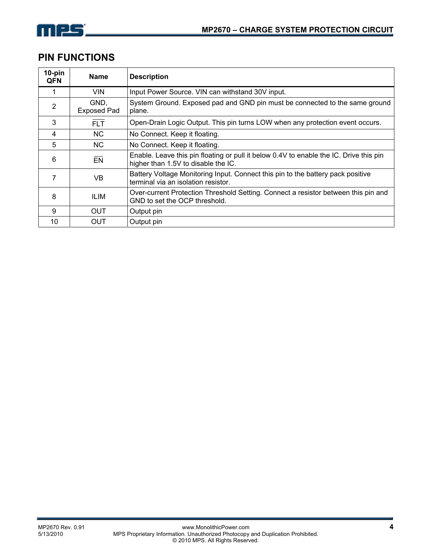

### **PIN FUNCTIONS**

| $10$ -pin<br><b>QFN</b> | <b>Name</b>                | <b>Description</b>                                                                                                            |
|-------------------------|----------------------------|-------------------------------------------------------------------------------------------------------------------------------|
|                         | VIN.                       | Input Power Source. VIN can withstand 30V input.                                                                              |
| $\overline{2}$          | GND,<br><b>Exposed Pad</b> | System Ground. Exposed pad and GND pin must be connected to the same ground<br>plane.                                         |
| 3                       | <b>FLT</b>                 | Open-Drain Logic Output. This pin turns LOW when any protection event occurs.                                                 |
| 4                       | NC.                        | No Connect. Keep it floating.                                                                                                 |
| 5                       | <b>NC</b>                  | No Connect. Keep it floating.                                                                                                 |
| 6                       | EN                         | Enable. Leave this pin floating or pull it below 0.4V to enable the IC. Drive this pin<br>higher than 1.5V to disable the IC. |
|                         | VB                         | Battery Voltage Monitoring Input. Connect this pin to the battery pack positive<br>terminal via an isolation resistor.        |
| 8                       | ILIM                       | Over-current Protection Threshold Setting. Connect a resistor between this pin and<br>GND to set the OCP threshold.           |
| 9                       | <b>OUT</b>                 | Output pin                                                                                                                    |
| 10                      | <b>OUT</b>                 | Output pin                                                                                                                    |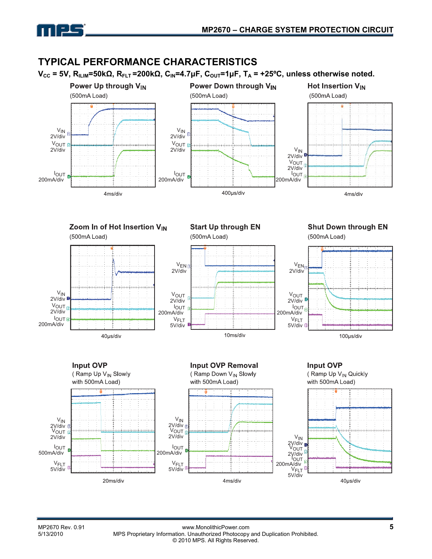

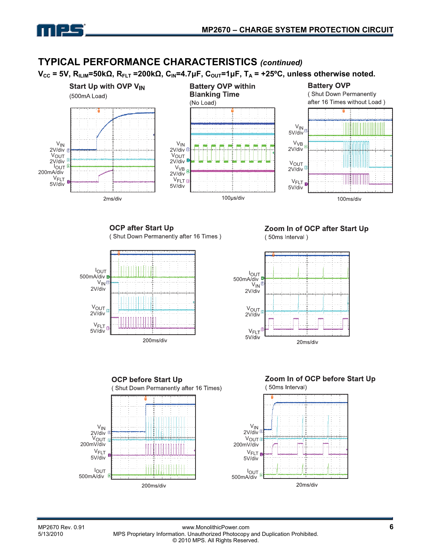

### **TYPICAL PERFORMANCE CHARACTERISTICS** *(continued)*

 $V_{CC}$  = 5V, R<sub>ILIM</sub>=50kΩ, R<sub>FLT</sub> =200kΩ, C<sub>IN</sub>=4.7μF, C<sub>OUT</sub>=1μF, T<sub>A</sub> = +25<sup>o</sup>C, unless otherwise noted.



**OCP after Start Up** (Shut Down Permanently after 16 Times)



Zoom In of OCP after Start Up (50ms Interval)







20ms/div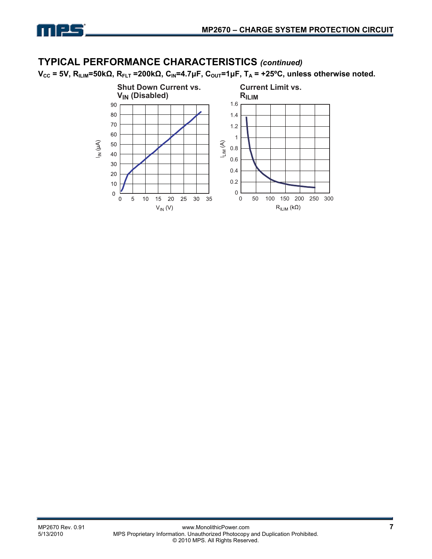

### **TYPICAL PERFORMANCE CHARACTERISTICS** *(continued)*

 $V_{CC}$  = 5V, R<sub>ILIM</sub>=50kΩ, R<sub>FLT</sub> =200kΩ, C<sub>IN</sub>=4.7μF, C<sub>OUT</sub>=1μF, T<sub>A</sub> = +25°C, unless otherwise noted.

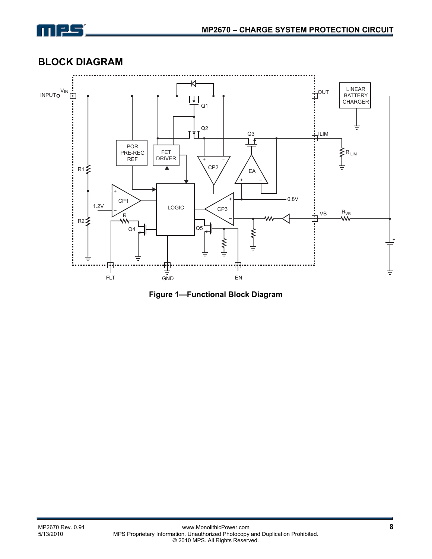

# **BLOCK DIAGRAM**



**Figure 1—Functional Block Diagram**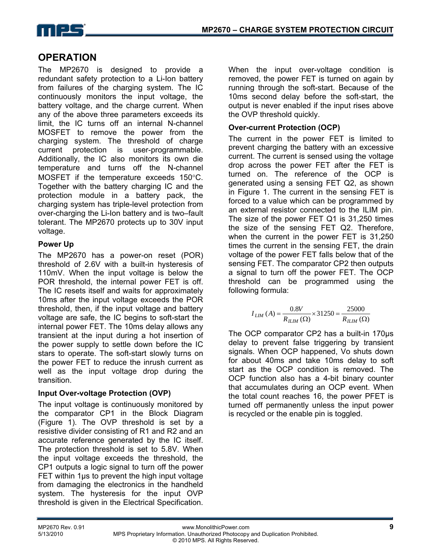

# **OPERATION**

The MP2670 is designed to provide a redundant safety protection to a Li-Ion battery from failures of the charging system. The IC continuously monitors the input voltage, the battery voltage, and the charge current. When any of the above three parameters exceeds its limit, the IC turns off an internal N-channel MOSFET to remove the power from the charging system. The threshold of charge current protection is user-programmable. Additionally, the IC also monitors its own die temperature and turns off the N-channel MOSFET if the temperature exceeds 150°C. Together with the battery charging IC and the protection module in a battery pack, the charging system has triple-level protection from over-charging the Li-Ion battery and is two–fault tolerant. The MP2670 protects up to 30V input voltage.

### **Power Up**

The MP2670 has a power-on reset (POR) threshold of 2.6V with a built-in hysteresis of 110mV. When the input voltage is below the POR threshold, the internal power FET is off. The IC resets itself and waits for approximately 10ms after the input voltage exceeds the POR threshold, then, if the input voltage and battery voltage are safe, the IC begins to soft-start the internal power FET. The 10ms delay allows any transient at the input during a hot insertion of the power supply to settle down before the IC stars to operate. The soft-start slowly turns on the power FET to reduce the inrush current as well as the input voltage drop during the transition.

#### **Input Over-voltage Protection (OVP)**

The input voltage is continuously monitored by the comparator CP1 in the Block Diagram (Figure 1). The OVP threshold is set by a resistive divider consisting of R1 and R2 and an accurate reference generated by the IC itself. The protection threshold is set to 5.8V. When the input voltage exceeds the threshold, the CP1 outputs a logic signal to turn off the power FET within 1µs to prevent the high input voltage from damaging the electronics in the handheld system. The hysteresis for the input OVP threshold is given in the Electrical Specification. When the input over-voltage condition is removed, the power FET is turned on again by running through the soft-start. Because of the 10ms second delay before the soft-start, the output is never enabled if the input rises above the OVP threshold quickly.

#### **Over-current Protection (OCP)**

The current in the power FET is limited to prevent charging the battery with an excessive current. The current is sensed using the voltage drop across the power FET after the FET is turned on. The reference of the OCP is generated using a sensing FET Q2, as shown in Figure 1. The current in the sensing FET is forced to a value which can be programmed by an external resistor connected to the ILIM pin. The size of the power FET Q1 is 31,250 times the size of the sensing FET Q2. Therefore, when the current in the power FET is 31,250 times the current in the sensing FET, the drain voltage of the power FET falls below that of the sensing FET. The comparator CP2 then outputs a signal to turn off the power FET. The OCP threshold can be programmed using the following formula:

$$
I_{LIM}(A) = \frac{0.8V}{R_{LIM}(\Omega)} \times 31250 = \frac{25000}{R_{LLM}(\Omega)}
$$

The OCP comparator CP2 has a built-in 170µs delay to prevent false triggering by transient signals. When OCP happened, Vo shuts down for about 40ms and take 10ms delay to soft start as the OCP condition is removed. The OCP function also has a 4-bit binary counter that accumulates during an OCP event. When the total count reaches 16, the power PFET is turned off permanently unless the input power is recycled or the enable pin is toggled.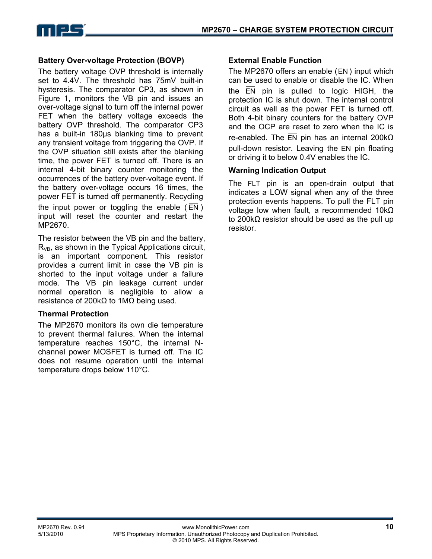

#### **Battery Over-voltage Protection (BOVP)**

The battery voltage OVP threshold is internally set to 4.4V. The threshold has 75mV built-in hysteresis. The comparator CP3, as shown in Figure 1, monitors the VB pin and issues an over-voltage signal to turn off the internal power FET when the battery voltage exceeds the battery OVP threshold. The comparator CP3 has a built-in 180µs blanking time to prevent any transient voltage from triggering the OVP. If the OVP situation still exists after the blanking time, the power FET is turned off. There is an internal 4-bit binary counter monitoring the occurrences of the battery over-voltage event. If the battery over-voltage occurs 16 times, the power FET is turned off permanently. Recycling the input power or toggling the enable ( EN ) input will reset the counter and restart the MP2670.

The resistor between the VB pin and the battery,  $R_{VB}$ , as shown in the Typical Applications circuit, is an important component. This resistor provides a current limit in case the VB pin is shorted to the input voltage under a failure mode. The VB pin leakage current under normal operation is negligible to allow a resistance of 200kΩ to 1MΩ being used.

#### **Thermal Protection**

The MP2670 monitors its own die temperature to prevent thermal failures. When the internal temperature reaches 150°C, the internal Nchannel power MOSFET is turned off. The IC does not resume operation until the internal temperature drops below 110°C.

#### **External Enable Function**

The MP2670 offers an enable (EN ) input which can be used to enable or disable the IC. When the EN pin is pulled to logic HIGH, the protection IC is shut down. The internal control circuit as well as the power FET is turned off. Both 4-bit binary counters for the battery OVP and the OCP are reset to zero when the IC is re-enabled. The EN pin has an internal 200kΩ pull-down resistor. Leaving the  $\overline{EN}$  pin floating or driving it to below 0.4V enables the IC.

#### **Warning Indication Output**

The FLT pin is an open-drain output that indicates a LOW signal when any of the three protection events happens. To pull the FLT pin voltage low when fault, a recommended 10kΩ to 200kΩ resistor should be used as the pull up resistor.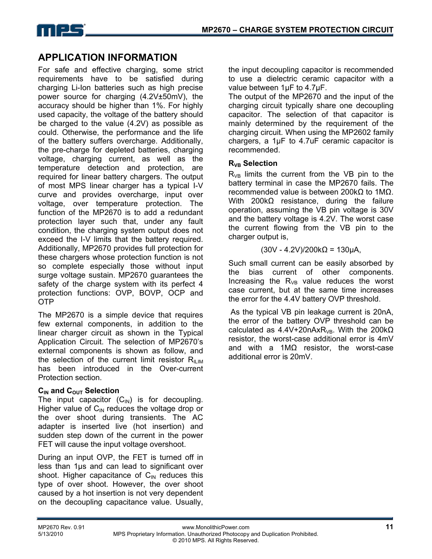

# **APPLICATION INFORMATION**

For safe and effective charging, some strict requirements have to be satisfied during charging Li-Ion batteries such as high precise power source for charging (4.2V±50mV), the accuracy should be higher than 1%. For highly used capacity, the voltage of the battery should be charged to the value (4.2V) as possible as could. Otherwise, the performance and the life of the battery suffers overcharge. Additionally, the pre-charge for depleted batteries, charging voltage, charging current, as well as the temperature detection and protection, are required for linear battery chargers. The output of most MPS linear charger has a typical I-V curve and provides overcharge, input over voltage, over temperature protection. The function of the MP2670 is to add a redundant protection layer such that, under any fault condition, the charging system output does not exceed the I-V limits that the battery required. Additionally, MP2670 provides full protection for these chargers whose protection function is not so complete especially those without input surge voltage sustain. MP2670 guarantees the safety of the charge system with its perfect 4 protection functions: OVP, BOVP, OCP and OTP

The MP2670 is a simple device that requires few external components, in addition to the linear charger circuit as shown in the Typical Application Circuit. The selection of MP2670's external components is shown as follow, and the selection of the current limit resistor  $R_{\text{IUM}}$ has been introduced in the Over-current Protection section.

### **C<sub>IN</sub>** and C<sub>OUT</sub> Selection

The input capacitor  $(C_{\text{IN}})$  is for decoupling. Higher value of  $C_{\text{IN}}$  reduces the voltage drop or the over shoot during transients. The AC adapter is inserted live (hot insertion) and sudden step down of the current in the power FET will cause the input voltage overshoot.

During an input OVP, the FET is turned off in less than 1µs and can lead to significant over shoot. Higher capacitance of  $C_{\text{IN}}$  reduces this type of over shoot. However, the over shoot caused by a hot insertion is not very dependent on the decoupling capacitance value. Usually,

the input decoupling capacitor is recommended to use a dielectric ceramic capacitor with a value between 1µF to 4.7µF.

The output of the MP2670 and the input of the charging circuit typically share one decoupling capacitor. The selection of that capacitor is mainly determined by the requirement of the charging circuit. When using the MP2602 family chargers, a 1µF to 4.7uF ceramic capacitor is recommended.

#### **RVB Selection**

 $R_{VB}$  limits the current from the VB pin to the battery terminal in case the MP2670 fails. The recommended value is between 200kΩ to 1MΩ. With 200kΩ resistance, during the failure operation, assuming the VB pin voltage is 30V and the battery voltage is 4.2V. The worst case the current flowing from the VB pin to the charger output is,

(30V - 4.2V)/200kΩ = 130µA,

Such small current can be easily absorbed by the bias current of other components. Increasing the  $R_{VB}$  value reduces the worst case current, but at the same time increases the error for the 4.4V battery OVP threshold.

 As the typical VB pin leakage current is 20nA, the error of the battery OVP threshold can be calculated as  $4.4V+20nAxR_{VB}$ . With the 200k $\Omega$ resistor, the worst-case additional error is 4mV and with a 1MΩ resistor, the worst-case additional error is 20mV.